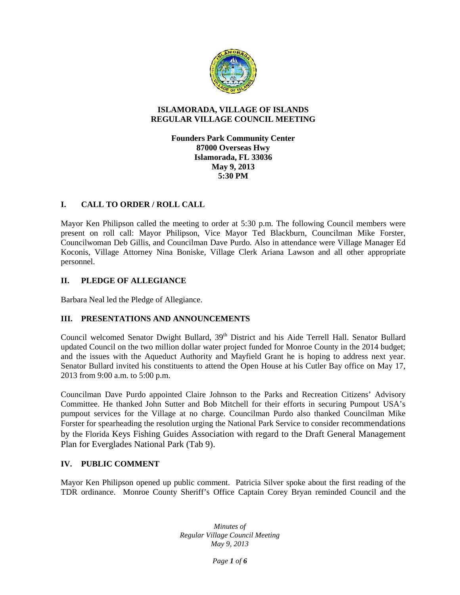

### **ISLAMORADA, VILLAGE OF ISLANDS REGULAR VILLAGE COUNCIL MEETING**

**Founders Park Community Center 87000 Overseas Hwy Islamorada, FL 33036 May 9, 2013 5:30 PM**

## **I. CALL TO ORDER / ROLL CALL**

Mayor Ken Philipson called the meeting to order at 5:30 p.m. The following Council members were present on roll call: Mayor Philipson, Vice Mayor Ted Blackburn, Councilman Mike Forster, Councilwoman Deb Gillis, and Councilman Dave Purdo. Also in attendance were Village Manager Ed Koconis, Village Attorney Nina Boniske, Village Clerk Ariana Lawson and all other appropriate personnel.

## **II. PLEDGE OF ALLEGIANCE**

Barbara Neal led the Pledge of Allegiance.

## **III. PRESENTATIONS AND ANNOUNCEMENTS**

Council welcomed Senator Dwight Bullard, 39<sup>th</sup> District and his Aide Terrell Hall. Senator Bullard updated Council on the two million dollar water project funded for Monroe County in the 2014 budget; and the issues with the Aqueduct Authority and Mayfield Grant he is hoping to address next year. Senator Bullard invited his constituents to attend the Open House at his Cutler Bay office on May 17, 2013 from 9:00 a.m. to 5:00 p.m.

Councilman Dave Purdo appointed Claire Johnson to the Parks and Recreation Citizens' Advisory Committee. He thanked John Sutter and Bob Mitchell for their efforts in securing Pumpout USA's pumpout services for the Village at no charge. Councilman Purdo also thanked Councilman Mike Forster for spearheading the resolution urging the National Park Service to consider recommendations by the Florida Keys Fishing Guides Association with regard to the Draft General Management Plan for Everglades National Park (Tab 9).

## **IV. PUBLIC COMMENT**

Mayor Ken Philipson opened up public comment. Patricia Silver spoke about the first reading of the TDR ordinance. Monroe County Sheriff's Office Captain Corey Bryan reminded Council and the

> *Minutes of Regular Village Council Meeting May 9, 2013*

> > *Page 1 of 6*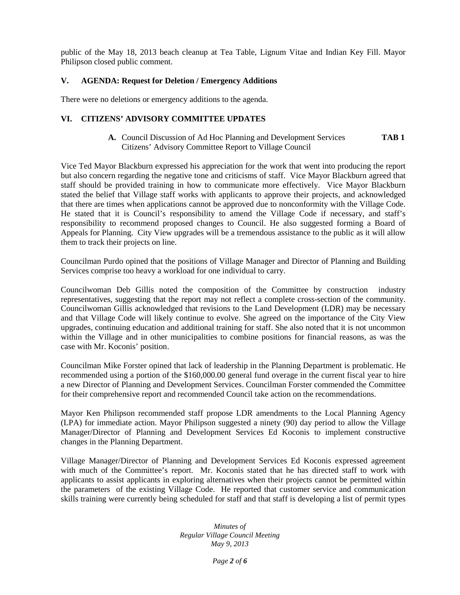public of the May 18, 2013 beach cleanup at Tea Table, Lignum Vitae and Indian Key Fill. Mayor Philipson closed public comment.

### **V. AGENDA: Request for Deletion / Emergency Additions**

There were no deletions or emergency additions to the agenda.

### **VI. CITIZENS' ADVISORY COMMITTEE UPDATES**

**A.** Council Discussion of Ad Hoc Planning and Development Services **TAB 1** Citizens' Advisory Committee Report to Village Council

Vice Ted Mayor Blackburn expressed his appreciation for the work that went into producing the report but also concern regarding the negative tone and criticisms of staff. Vice Mayor Blackburn agreed that staff should be provided training in how to communicate more effectively. Vice Mayor Blackburn stated the belief that Village staff works with applicants to approve their projects, and acknowledged that there are times when applications cannot be approved due to nonconformity with the Village Code. He stated that it is Council's responsibility to amend the Village Code if necessary, and staff's responsibility to recommend proposed changes to Council. He also suggested forming a Board of Appeals for Planning. City View upgrades will be a tremendous assistance to the public as it will allow them to track their projects on line.

Councilman Purdo opined that the positions of Village Manager and Director of Planning and Building Services comprise too heavy a workload for one individual to carry.

Councilwoman Deb Gillis noted the composition of the Committee by construction industry representatives, suggesting that the report may not reflect a complete cross-section of the community. Councilwoman Gillis acknowledged that revisions to the Land Development (LDR) may be necessary and that Village Code will likely continue to evolve. She agreed on the importance of the City View upgrades, continuing education and additional training for staff. She also noted that it is not uncommon within the Village and in other municipalities to combine positions for financial reasons, as was the case with Mr. Koconis' position.

Councilman Mike Forster opined that lack of leadership in the Planning Department is problematic. He recommended using a portion of the \$160,000.00 general fund overage in the current fiscal year to hire a new Director of Planning and Development Services. Councilman Forster commended the Committee for their comprehensive report and recommended Council take action on the recommendations.

Mayor Ken Philipson recommended staff propose LDR amendments to the Local Planning Agency (LPA) for immediate action. Mayor Philipson suggested a ninety (90) day period to allow the Village Manager/Director of Planning and Development Services Ed Koconis to implement constructive changes in the Planning Department.

Village Manager/Director of Planning and Development Services Ed Koconis expressed agreement with much of the Committee's report. Mr. Koconis stated that he has directed staff to work with applicants to assist applicants in exploring alternatives when their projects cannot be permitted within the parameters of the existing Village Code. He reported that customer service and communication skills training were currently being scheduled for staff and that staff is developing a list of permit types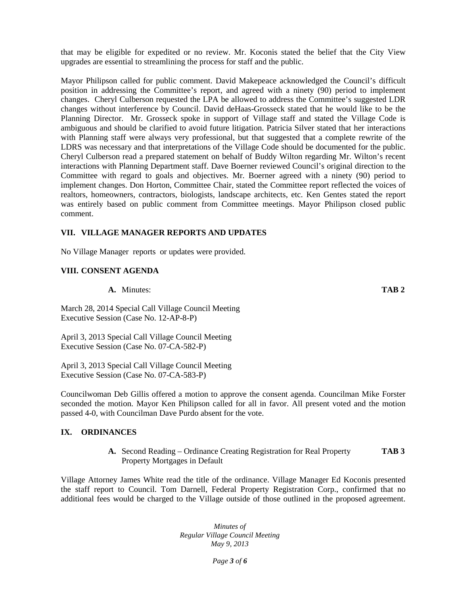that may be eligible for expedited or no review. Mr. Koconis stated the belief that the City View upgrades are essential to streamlining the process for staff and the public.

Mayor Philipson called for public comment. David Makepeace acknowledged the Council's difficult position in addressing the Committee's report, and agreed with a ninety (90) period to implement changes. Cheryl Culberson requested the LPA be allowed to address the Committee's suggested LDR changes without interference by Council. David deHaas-Grosseck stated that he would like to be the Planning Director. Mr. Grosseck spoke in support of Village staff and stated the Village Code is ambiguous and should be clarified to avoid future litigation. Patricia Silver stated that her interactions with Planning staff were always very professional, but that suggested that a complete rewrite of the LDRS was necessary and that interpretations of the Village Code should be documented for the public. Cheryl Culberson read a prepared statement on behalf of Buddy Wilton regarding Mr. Wilton's recent interactions with Planning Department staff. Dave Boerner reviewed Council's original direction to the Committee with regard to goals and objectives. Mr. Boerner agreed with a ninety (90) period to implement changes. Don Horton, Committee Chair, stated the Committee report reflected the voices of realtors, homeowners, contractors, biologists, landscape architects, etc. Ken Gentes stated the report was entirely based on public comment from Committee meetings. Mayor Philipson closed public comment.

### **VII. VILLAGE MANAGER REPORTS AND UPDATES**

No Village Manager reports or updates were provided.

#### **VIII. CONSENT AGENDA**

**A.** Minutes: **TAB 2**

March 28, 2014 Special Call Village Council Meeting Executive Session (Case No. 12-AP-8-P)

April 3, 2013 Special Call Village Council Meeting Executive Session (Case No. 07-CA-582-P)

April 3, 2013 Special Call Village Council Meeting Executive Session (Case No. 07-CA-583-P)

Councilwoman Deb Gillis offered a motion to approve the consent agenda. Councilman Mike Forster seconded the motion. Mayor Ken Philipson called for all in favor. All present voted and the motion passed 4-0, with Councilman Dave Purdo absent for the vote.

#### **IX. ORDINANCES**

**A.** Second Reading – Ordinance Creating Registration for Real Property **TAB 3** Property Mortgages in Default

Village Attorney James White read the title of the ordinance. Village Manager Ed Koconis presented the staff report to Council. Tom Darnell, Federal Property Registration Corp., confirmed that no additional fees would be charged to the Village outside of those outlined in the proposed agreement.

> *Minutes of Regular Village Council Meeting May 9, 2013*

> > *Page 3 of 6*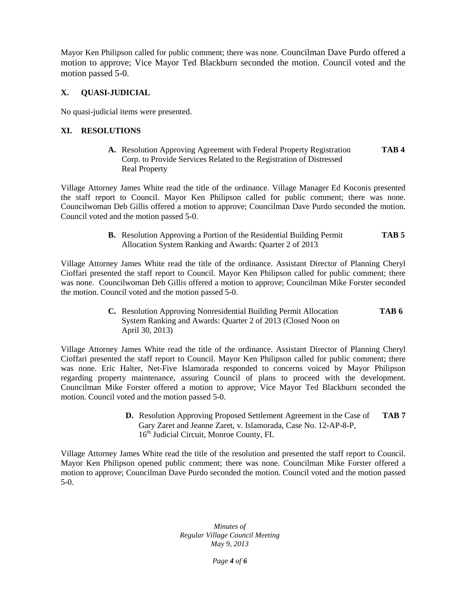Mayor Ken Philipson called for public comment; there was none. Councilman Dave Purdo offered a motion to approve; Vice Mayor Ted Blackburn seconded the motion. Council voted and the motion passed 5-0.

# **X. QUASI-JUDICIAL**

No quasi-judicial items were presented.

# **XI. RESOLUTIONS**

**A.** Resolution Approving Agreement with Federal Property Registration **TAB 4** Corp. to Provide Services Related to the Registration of Distressed Real Property

Village Attorney James White read the title of the ordinance. Village Manager Ed Koconis presented the staff report to Council. Mayor Ken Philipson called for public comment; there was none. Councilwoman Deb Gillis offered a motion to approve; Councilman Dave Purdo seconded the motion. Council voted and the motion passed 5-0.

> **B.** Resolution Approving a Portion of the Residential Building Permit **TAB 5** Allocation System Ranking and Awards: Quarter 2 of 2013

Village Attorney James White read the title of the ordinance. Assistant Director of Planning Cheryl Cioffari presented the staff report to Council. Mayor Ken Philipson called for public comment; there was none. Councilwoman Deb Gillis offered a motion to approve; Councilman Mike Forster seconded the motion. Council voted and the motion passed 5-0.

> **C.** Resolution Approving Nonresidential Building Permit Allocation **TAB 6** System Ranking and Awards: Quarter 2 of 2013 (Closed Noon on April 30, 2013)

Village Attorney James White read the title of the ordinance. Assistant Director of Planning Cheryl Cioffari presented the staff report to Council. Mayor Ken Philipson called for public comment; there was none. Eric Halter, Net-Five Islamorada responded to concerns voiced by Mayor Philipson regarding property maintenance, assuring Council of plans to proceed with the development. Councilman Mike Forster offered a motion to approve; Vice Mayor Ted Blackburn seconded the motion. Council voted and the motion passed 5-0.

> **D.** Resolution Approving Proposed Settlement Agreement in the Case of **TAB 7** Gary Zaret and Jeanne Zaret, v. Islamorada, Case No. 12-AP-8-P, 16<sup>th</sup> Judicial Circuit, Monroe County, FL

Village Attorney James White read the title of the resolution and presented the staff report to Council. Mayor Ken Philipson opened public comment; there was none. Councilman Mike Forster offered a motion to approve; Councilman Dave Purdo seconded the motion. Council voted and the motion passed 5-0.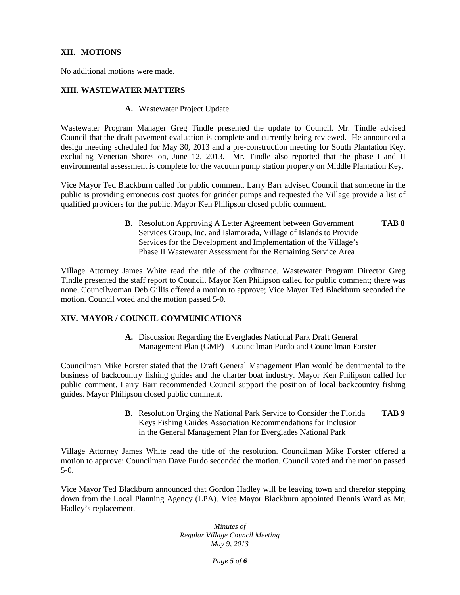### **XII. MOTIONS**

No additional motions were made.

### **XIII. WASTEWATER MATTERS**

**A.** Wastewater Project Update

Wastewater Program Manager Greg Tindle presented the update to Council. Mr. Tindle advised Council that the draft pavement evaluation is complete and currently being reviewed. He announced a design meeting scheduled for May 30, 2013 and a pre-construction meeting for South Plantation Key, excluding Venetian Shores on, June 12, 2013. Mr. Tindle also reported that the phase I and II environmental assessment is complete for the vacuum pump station property on Middle Plantation Key.

Vice Mayor Ted Blackburn called for public comment. Larry Barr advised Council that someone in the public is providing erroneous cost quotes for grinder pumps and requested the Village provide a list of qualified providers for the public. Mayor Ken Philipson closed public comment.

> **B.** Resolution Approving A Letter Agreement between Government **TAB 8** Services Group, Inc. and Islamorada, Village of Islands to Provide Services for the Development and Implementation of the Village's Phase II Wastewater Assessment for the Remaining Service Area

Village Attorney James White read the title of the ordinance. Wastewater Program Director Greg Tindle presented the staff report to Council. Mayor Ken Philipson called for public comment; there was none. Councilwoman Deb Gillis offered a motion to approve; Vice Mayor Ted Blackburn seconded the motion. Council voted and the motion passed 5-0.

## **XIV. MAYOR / COUNCIL COMMUNICATIONS**

**A.** Discussion Regarding the Everglades National Park Draft General Management Plan (GMP) – Councilman Purdo and Councilman Forster

Councilman Mike Forster stated that the Draft General Management Plan would be detrimental to the business of backcountry fishing guides and the charter boat industry. Mayor Ken Philipson called for public comment. Larry Barr recommended Council support the position of local backcountry fishing guides. Mayor Philipson closed public comment.

> **B.** Resolution Urging the National Park Service to Consider the Florida **TAB 9** Keys Fishing Guides Association Recommendations for Inclusion in the General Management Plan for Everglades National Park

Village Attorney James White read the title of the resolution. Councilman Mike Forster offered a motion to approve; Councilman Dave Purdo seconded the motion. Council voted and the motion passed 5-0.

Vice Mayor Ted Blackburn announced that Gordon Hadley will be leaving town and therefor stepping down from the Local Planning Agency (LPA). Vice Mayor Blackburn appointed Dennis Ward as Mr. Hadley's replacement.